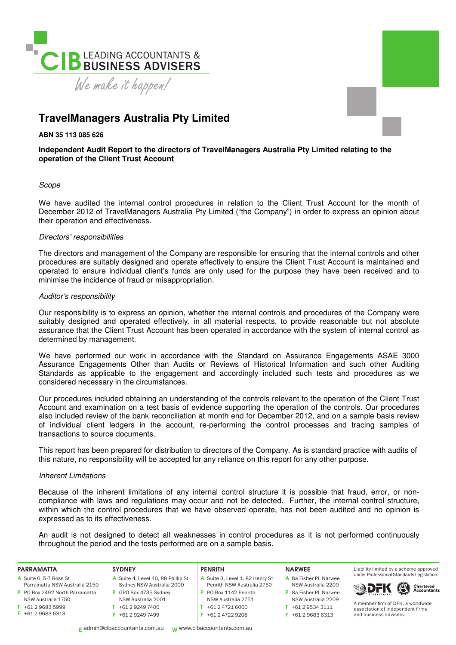

## **TravelManagers Australia Pty Limited**

**ABN 35 113 085 626** 

## **Independent Audit Report to the directors of TravelManagers Australia Pty Limited relating to the operation of the Client Trust Account**

## Scope

We have audited the internal control procedures in relation to the Client Trust Account for the month of December 2012 of TravelManagers Australia Pty Limited ("the Company") in order to express an opinion about their operation and effectiveness.

## Directors' responsibilities

The directors and management of the Company are responsible for ensuring that the internal controls and other procedures are suitably designed and operate effectively to ensure the Client Trust Account is maintained and operated to ensure individual client's funds are only used for the purpose they have been received and to minimise the incidence of fraud or misappropriation.

## Auditor's responsibility

Our responsibility is to express an opinion, whether the internal controls and procedures of the Company were suitably designed and operated effectively, in all material respects, to provide reasonable but not absolute assurance that the Client Trust Account has been operated in accordance with the system of internal control as determined by management.

We have performed our work in accordance with the Standard on Assurance Engagements ASAE 3000 Assurance Engagements Other than Audits or Reviews of Historical Information and such other Auditing Standards as applicable to the engagement and accordingly included such tests and procedures as we considered necessary in the circumstances.

Our procedures included obtaining an understanding of the controls relevant to the operation of the Client Trust Account and examination on a test basis of evidence supporting the operation of the controls. Our procedures also included review of the bank reconciliation at month end for December 2012, and on a sample basis review of individual client ledgers in the account, re-performing the control processes and tracing samples of transactions to source documents.

This report has been prepared for distribution to directors of the Company. As is standard practice with audits of this nature, no responsibility will be accepted for any reliance on this report for any other purpose.

## Inherent Limitations

Because of the inherent limitations of any internal control structure it is possible that fraud, error, or noncompliance with laws and regulations may occur and not be detected. Further, the internal control structure, within which the control procedures that we have observed operate, has not been audited and no opinion is expressed as to its effectiveness.

An audit is not designed to detect all weaknesses in control procedures as it is not performed continuously throughout the period and the tests performed are on a sample basis.

#### PARRAMATTA

- A Suite 6, 5-7 Ross St Parramatta NSW Australia 2150
- P PO Box 2492 North Parramatta
- NSW Australia 1750 T +61 2 9683 5999
- F +61 2 9683 6313
	-
	-

#### **SYDNEY** A Suite 4, Level 40, 88 Phillip St Sydney NSW Australia 2000 P GPO Box 4735 Sydney NSW Australia 2001

T +61 2 9249 7400 F +61 2 9249 7499

#### PENRITH

- A Suite 3, Level 1, 82 Henry St Penrith NSW Australia 2750 P PO Box 1142 Penrith
- NSW Australia 2751 T +61 2 4721 6000
- F +61 2 4722 9208
- 

#### NARWEE

- A 8a Fisher Pl, Narwee NSW Australia 2209 P 8a Fisher Pl, Narwee NSW Australia 2209
- $T + 61 2 9534 3111$
- F +61 2 9683 6313





A member irm of DFK, a worldwide association of independent firms and business advisers.

E admin@cibaccountants.com.au W www.cibaccountants.com.au